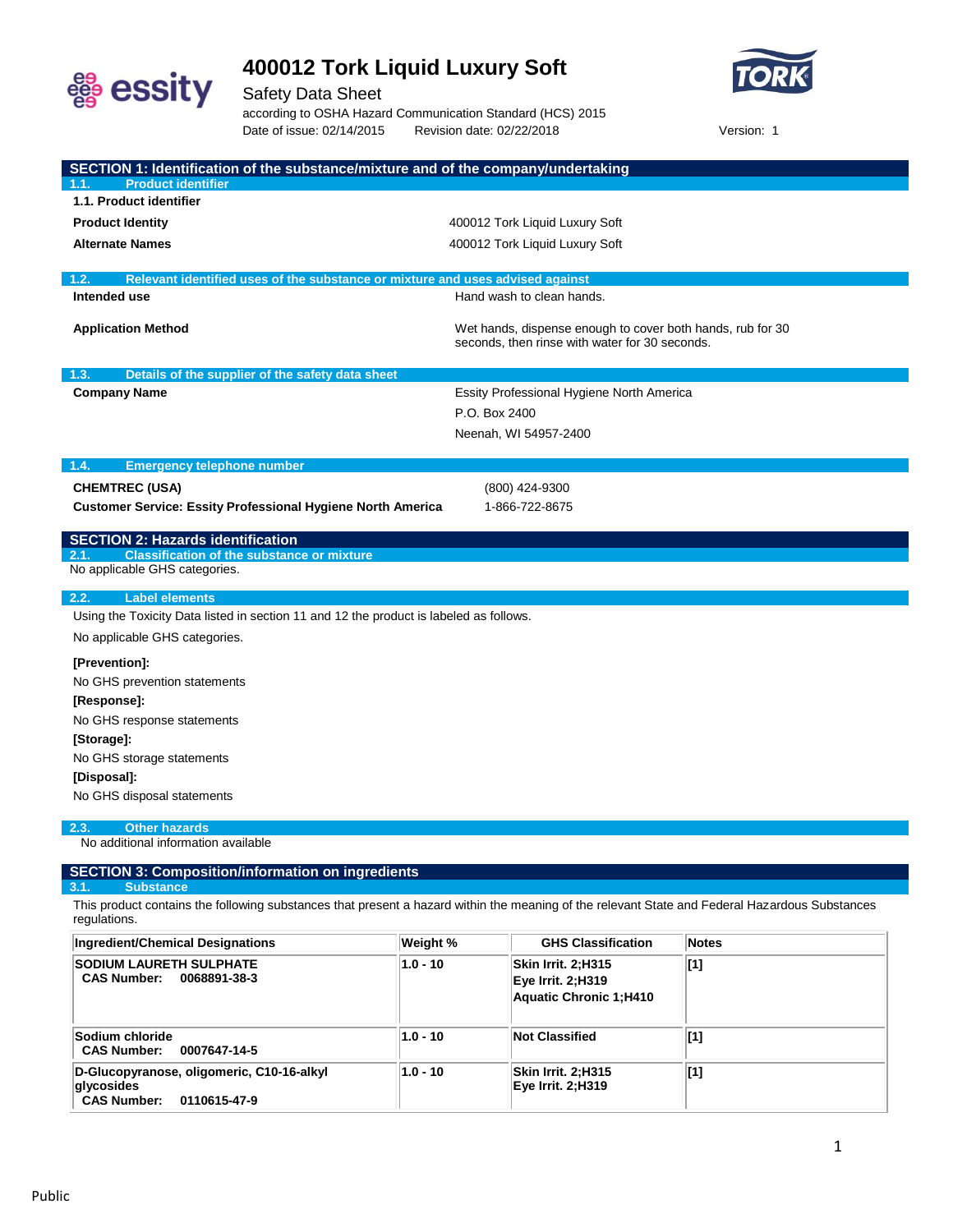



Safety Data Sheet according to OSHA Hazard Communication Standard (HCS) 2015 Date of issue: 02/14/2015 Revision date: 02/22/2018 Version: 1

| SECTION 1: Identification of the substance/mixture and of the company/undertaking<br><b>Product identifier</b> |                                                                                                                                                |
|----------------------------------------------------------------------------------------------------------------|------------------------------------------------------------------------------------------------------------------------------------------------|
| 1.1. Product identifier                                                                                        |                                                                                                                                                |
| <b>Product Identity</b>                                                                                        | 400012 Tork Liquid Luxury Soft                                                                                                                 |
| <b>Alternate Names</b>                                                                                         |                                                                                                                                                |
|                                                                                                                | 400012 Tork Liquid Luxury Soft                                                                                                                 |
| Relevant identified uses of the substance or mixture and uses advised against<br>1.2.                          |                                                                                                                                                |
| Intended use                                                                                                   | Hand wash to clean hands.                                                                                                                      |
| <b>Application Method</b>                                                                                      | Wet hands, dispense enough to cover both hands, rub for 30<br>seconds, then rinse with water for 30 seconds.                                   |
| 1.3.<br>Details of the supplier of the safety data sheet                                                       |                                                                                                                                                |
| <b>Company Name</b>                                                                                            | Essity Professional Hygiene North America                                                                                                      |
|                                                                                                                | P.O. Box 2400                                                                                                                                  |
|                                                                                                                | Neenah, WI 54957-2400                                                                                                                          |
| 1.4.<br><b>Emergency telephone number</b>                                                                      |                                                                                                                                                |
| <b>CHEMTREC (USA)</b>                                                                                          | (800) 424-9300                                                                                                                                 |
| <b>Customer Service: Essity Professional Hygiene North America</b>                                             | 1-866-722-8675                                                                                                                                 |
| <b>Label elements</b><br>2.2.                                                                                  |                                                                                                                                                |
| Using the Toxicity Data listed in section 11 and 12 the product is labeled as follows.                         |                                                                                                                                                |
| No applicable GHS categories.                                                                                  |                                                                                                                                                |
| [Prevention]:                                                                                                  |                                                                                                                                                |
| No GHS prevention statements                                                                                   |                                                                                                                                                |
| [Response]:                                                                                                    |                                                                                                                                                |
| No GHS response statements                                                                                     |                                                                                                                                                |
| [Storage]:                                                                                                     |                                                                                                                                                |
| No GHS storage statements                                                                                      |                                                                                                                                                |
| [Disposal]:                                                                                                    |                                                                                                                                                |
| No GHS disposal statements                                                                                     |                                                                                                                                                |
| <b>Other hazards</b><br>2.3.                                                                                   |                                                                                                                                                |
| No additional information available                                                                            |                                                                                                                                                |
| <b>SECTION 3: Composition/information on ingredients</b>                                                       |                                                                                                                                                |
| <b>Substance</b><br>3.1                                                                                        |                                                                                                                                                |
| regulations.                                                                                                   | This product contains the following substances that present a hazard within the meaning of the relevant State and Federal Hazardous Substances |
| <b>Ingredient/Chemical Designations</b><br>Weight %                                                            | <b>GHS Classification</b><br><b>Notes</b>                                                                                                      |

| Ingredient/Chemical Designations                                                              | Weight %   | <b>GHS Classification</b>                                                 | <b>Notes</b> |
|-----------------------------------------------------------------------------------------------|------------|---------------------------------------------------------------------------|--------------|
| <b>SODIUM LAURETH SULPHATE</b><br><b>CAS Number:</b><br>0068891-38-3                          | $1.0 - 10$ | Skin Irrit. 2;H315<br><b>Eye Irrit. 2: H319</b><br>Aquatic Chronic 1;H410 | [1]          |
| Sodium chloride<br><b>CAS Number:</b><br>0007647-14-5                                         | $1.0 - 10$ | <b>Not Classified</b>                                                     | [1]          |
| D-Glucopyranose, oligomeric, C10-16-alkyl<br>qlycosides<br><b>CAS Number:</b><br>0110615-47-9 | $1.0 - 10$ | Skin Irrit. 2;H315<br>Eye Irrit. 2;H319                                   | $\vert$ [1]  |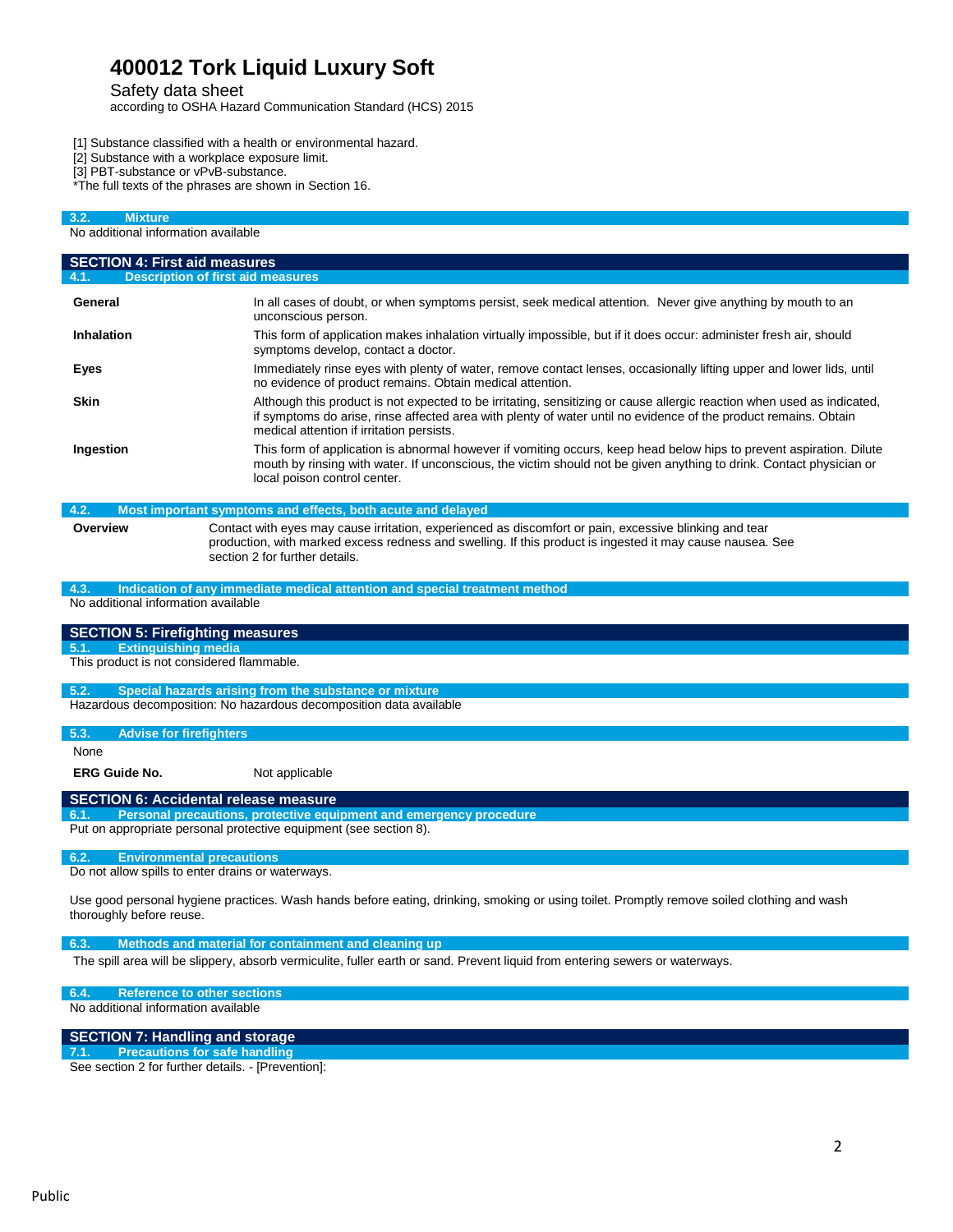Safety data sheet

according to OSHA Hazard Communication Standard (HCS) 2015

[1] Substance classified with a health or environmental hazard.

- [2] Substance with a workplace exposure limit.
- [3] PBT-substance or vPvB-substance.

\*The full texts of the phrases are shown in Section 16.

| 3.2.<br><b>Mixture</b>                    |                                                                                                                                                                                                                                                                                        |
|-------------------------------------------|----------------------------------------------------------------------------------------------------------------------------------------------------------------------------------------------------------------------------------------------------------------------------------------|
| No additional information available       |                                                                                                                                                                                                                                                                                        |
| <b>SECTION 4: First aid measures</b>      |                                                                                                                                                                                                                                                                                        |
|                                           | <b>Description of first aid measures</b>                                                                                                                                                                                                                                               |
| General                                   | In all cases of doubt, or when symptoms persist, seek medical attention. Never give anything by mouth to an<br>unconscious person.                                                                                                                                                     |
| Inhalation                                | This form of application makes inhalation virtually impossible, but if it does occur: administer fresh air, should<br>symptoms develop, contact a doctor.                                                                                                                              |
| Eyes                                      | Immediately rinse eyes with plenty of water, remove contact lenses, occasionally lifting upper and lower lids, until<br>no evidence of product remains. Obtain medical attention.                                                                                                      |
| <b>Skin</b>                               | Although this product is not expected to be irritating, sensitizing or cause allergic reaction when used as indicated,<br>if symptoms do arise, rinse affected area with plenty of water until no evidence of the product remains. Obtain<br>medical attention if irritation persists. |
| Ingestion                                 | This form of application is abnormal however if vomiting occurs, keep head below hips to prevent aspiration. Dilute<br>mouth by rinsing with water. If unconscious, the victim should not be given anything to drink. Contact physician or<br>local poison control center.             |
| 4.2.                                      | Most important symptoms and effects, both acute and delayed                                                                                                                                                                                                                            |
| Overview                                  | Contact with eyes may cause irritation, experienced as discomfort or pain, excessive blinking and tear<br>production, with marked excess redness and swelling. If this product is ingested it may cause nausea. See<br>section 2 for further details.                                  |
| 4.3.                                      | Indication of any immediate medical attention and special treatment method                                                                                                                                                                                                             |
| No additional information available       |                                                                                                                                                                                                                                                                                        |
| <b>SECTION 5: Firefighting measures</b>   |                                                                                                                                                                                                                                                                                        |
| <b>Extinguishing media</b><br>5.1.        |                                                                                                                                                                                                                                                                                        |
| This product is not considered flammable. |                                                                                                                                                                                                                                                                                        |
| 5.2.                                      | Special hazards arising from the substance or mixture                                                                                                                                                                                                                                  |
|                                           | Hazardous decomposition: No hazardous decomposition data available                                                                                                                                                                                                                     |
| 5.3.<br><b>Advise for firefighters</b>    |                                                                                                                                                                                                                                                                                        |
| None                                      |                                                                                                                                                                                                                                                                                        |
| <b>ERG Guide No.</b>                      | Not applicable                                                                                                                                                                                                                                                                         |
|                                           | <b>SECTION 6: Accidental release measure</b>                                                                                                                                                                                                                                           |
| 6.1.                                      | Personal precautions, protective equipment and emergency procedure<br>Put on appropriate personal protective equipment (see section 8).                                                                                                                                                |
| 6.2.                                      | <b>Environmental precautions</b>                                                                                                                                                                                                                                                       |
|                                           | Do not allow spills to enter drains or waterways.                                                                                                                                                                                                                                      |
| thoroughly before reuse.                  | Use good personal hygiene practices. Wash hands before eating, drinking, smoking or using toilet. Promptly remove soiled clothing and wash                                                                                                                                             |
| 6.3.                                      | Methods and material for containment and cleaning up                                                                                                                                                                                                                                   |
|                                           | The spill area will be slippery, absorb vermiculite, fuller earth or sand. Prevent liquid from entering sewers or waterways.                                                                                                                                                           |
| 6.4.                                      | <b>Reference to other sections</b>                                                                                                                                                                                                                                                     |

No additional information available

## **SECTION 7: Handling and storage**

**7.1. Precautions for safe handling** See section 2 for further details. - [Prevention]: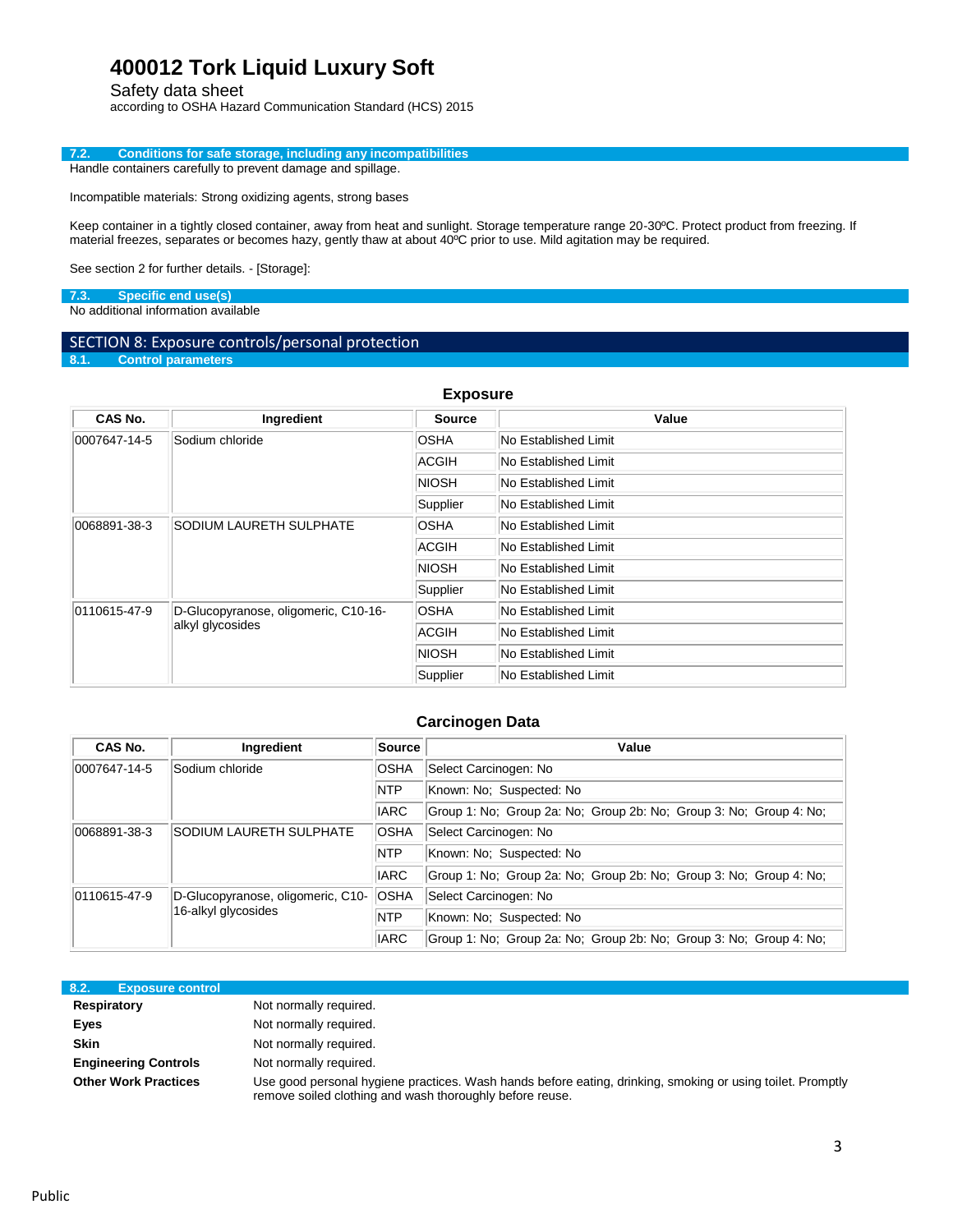Safety data sheet

according to OSHA Hazard Communication Standard (HCS) 2015

### **7.2. Conditions for safe storage, including any incompatibilities** Handle containers carefully to prevent damage and spillage.

Incompatible materials: Strong oxidizing agents, strong bases

Keep container in a tightly closed container, away from heat and sunlight. Storage temperature range 20-30ºC. Protect product from freezing. If material freezes, separates or becomes hazy, gently thaw at about 40ºC prior to use. Mild agitation may be required.

See section 2 for further details. - [Storage]:

## **7.3. Specific end use(s)**

No additional information available

# SECTION 8: Exposure controls/personal protection<br>8.1. Control parameters

**8.1. Control parameters**

| <b>Exposure</b>                         |                                      |                      |                             |  |  |
|-----------------------------------------|--------------------------------------|----------------------|-----------------------------|--|--|
| CAS No.                                 | Ingredient                           | <b>Source</b>        | Value                       |  |  |
| Sodium chloride<br>0007647-14-5         | <b>OSHA</b>                          | No Established Limit |                             |  |  |
|                                         |                                      | ACGIH                | No Established Limit        |  |  |
|                                         |                                      | <b>NIOSH</b>         | No Established Limit        |  |  |
|                                         |                                      | Supplier             | No Established Limit        |  |  |
| SODIUM LAURETH SULPHATE<br>0068891-38-3 |                                      | <b>OSHA</b>          | No Established Limit        |  |  |
|                                         |                                      | ACGIH                | No Established Limit        |  |  |
|                                         |                                      | <b>NIOSH</b>         | <b>No Established Limit</b> |  |  |
|                                         |                                      | Supplier             | No Established Limit        |  |  |
| 0110615-47-9                            | D-Glucopyranose, oligomeric, C10-16- | <b>OSHA</b>          | No Established Limit        |  |  |
| alkyl glycosides                        |                                      | ACGIH                | No Established Limit        |  |  |
|                                         |                                      | <b>NIOSH</b>         | No Established Limit        |  |  |
|                                         |                                      | Supplier             | No Established Limit        |  |  |

## **Carcinogen Data**

| CAS No.              | Ingredient                        | <b>Source</b> | Value                                                              |  |  |
|----------------------|-----------------------------------|---------------|--------------------------------------------------------------------|--|--|
| 0007647-14-5         | Sodium chloride                   | <b>OSHA</b>   | Select Carcinogen: No                                              |  |  |
|                      |                                   | <b>NTP</b>    | Known: No: Suspected: No                                           |  |  |
|                      |                                   | <b>IARC</b>   | Group 1: No; Group 2a: No; Group 2b: No; Group 3: No; Group 4: No; |  |  |
| 0068891-38-3         | <b>SODIUM LAURETH SULPHATE</b>    | <b>OSHA</b>   | Select Carcinogen: No                                              |  |  |
|                      |                                   | <b>NTP</b>    | Known: No: Suspected: No                                           |  |  |
|                      |                                   | <b>IARC</b>   | Group 1: No; Group 2a: No; Group 2b: No; Group 3: No; Group 4: No; |  |  |
| $ 0110615 - 47 - 9 $ | D-Glucopyranose, oligomeric, C10- | <b>OSHA</b>   | Select Carcinogen: No                                              |  |  |
|                      | 16-alkyl glycosides               | <b>NTP</b>    | Known: No; Suspected: No                                           |  |  |
|                      |                                   | <b>IARC</b>   | Group 1: No: Group 2a: No: Group 2b: No: Group 3: No: Group 4: No: |  |  |

| 8.2.                        | <b>Exposure control</b>                                                                                                                                                |
|-----------------------------|------------------------------------------------------------------------------------------------------------------------------------------------------------------------|
| <b>Respiratory</b>          | Not normally required.                                                                                                                                                 |
| Eyes                        | Not normally required.                                                                                                                                                 |
| <b>Skin</b>                 | Not normally required.                                                                                                                                                 |
| <b>Engineering Controls</b> | Not normally required.                                                                                                                                                 |
| <b>Other Work Practices</b> | Use good personal hygiene practices. Wash hands before eating, drinking, smoking or using toilet. Promptly<br>remove soiled clothing and wash thoroughly before reuse. |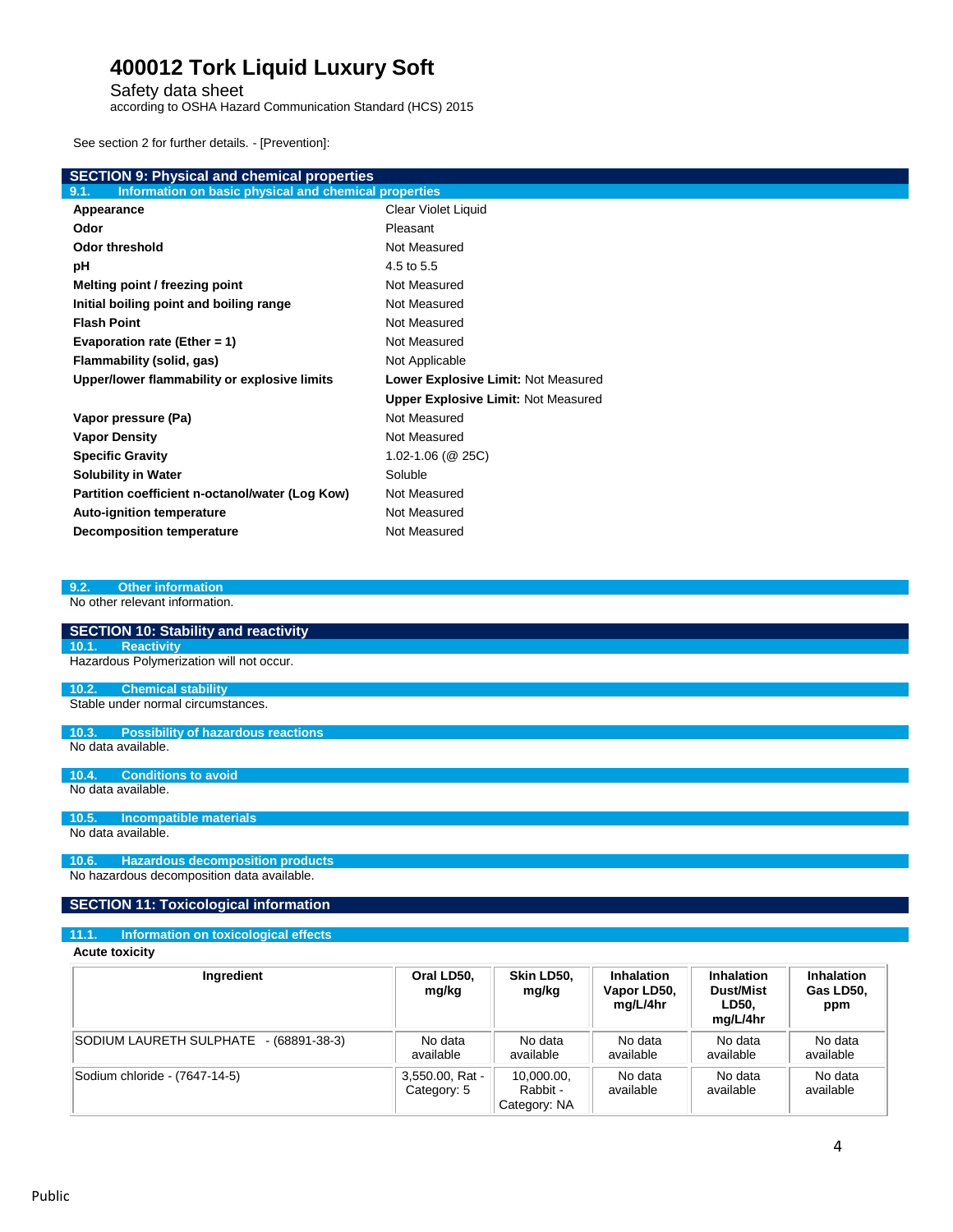Safety data sheet

according to OSHA Hazard Communication Standard (HCS) 2015

See section 2 for further details. - [Prevention]:

| <b>SECTION 9: Physical and chemical properties</b>            |                                            |  |  |  |  |
|---------------------------------------------------------------|--------------------------------------------|--|--|--|--|
| Information on basic physical and chemical properties<br>9.1. |                                            |  |  |  |  |
| Appearance                                                    | Clear Violet Liquid                        |  |  |  |  |
| Odor                                                          | Pleasant                                   |  |  |  |  |
| <b>Odor threshold</b>                                         | Not Measured                               |  |  |  |  |
| рH                                                            | 4.5 to 5.5                                 |  |  |  |  |
| Melting point / freezing point                                | Not Measured                               |  |  |  |  |
| Initial boiling point and boiling range                       | Not Measured                               |  |  |  |  |
| <b>Flash Point</b>                                            | Not Measured                               |  |  |  |  |
| Evaporation rate (Ether = 1)                                  | Not Measured                               |  |  |  |  |
| Flammability (solid, gas)                                     | Not Applicable                             |  |  |  |  |
| Upper/lower flammability or explosive limits                  | Lower Explosive Limit: Not Measured        |  |  |  |  |
|                                                               | <b>Upper Explosive Limit: Not Measured</b> |  |  |  |  |
| Vapor pressure (Pa)                                           | Not Measured                               |  |  |  |  |
| <b>Vapor Density</b>                                          | Not Measured                               |  |  |  |  |
| <b>Specific Gravity</b>                                       | $1.02 - 1.06$ (@ 25C)                      |  |  |  |  |
| <b>Solubility in Water</b>                                    | Soluble                                    |  |  |  |  |
| Partition coefficient n-octanol/water (Log Kow)               | Not Measured                               |  |  |  |  |
| <b>Auto-ignition temperature</b>                              | Not Measured                               |  |  |  |  |
| <b>Decomposition temperature</b>                              | Not Measured                               |  |  |  |  |

### **9.2. Other information**

No other relevant information.

| <b>SECTION 10: Stability and reactivity</b> |
|---------------------------------------------|
| 10.1. Reactivity                            |
| Hazardous Polymerization will not occur.    |
|                                             |
| 10.2. Chemical stability                    |

**10.3. Possibility of hazardous reactions** No data available.

#### **10.4. Conditions to avoid** No data available.

**10.5. Incompatible materials**

No data available.

### **10.6. Hazardous decomposition products** No hazardous decomposition data available.

## **SECTION 11: Toxicological information**

## **11.1. Information on toxicological effects**

**Acute toxicity**

| Ingredient                                | Oral LD50,<br>mg/kg            | Skin LD50,<br>mg/kg                    | <b>Inhalation</b><br>Vapor LD50,<br>mg/L/4hr | Inhalation<br>Dust/Mist<br>LD50.<br>mg/L/4hr | <b>Inhalation</b><br>Gas LD50,<br>ppm |
|-------------------------------------------|--------------------------------|----------------------------------------|----------------------------------------------|----------------------------------------------|---------------------------------------|
| SODIUM LAURETH SULPHATE<br>- (68891-38-3) | No data<br>available           | No data<br>available                   | No data<br>available                         | No data<br>available                         | No data<br>available                  |
| Sodium chloride - (7647-14-5)             | 3,550.00, Rat -<br>Category: 5 | 10,000.00,<br>Rabbit -<br>Category: NA | No data<br>available                         | No data<br>available                         | No data<br>available                  |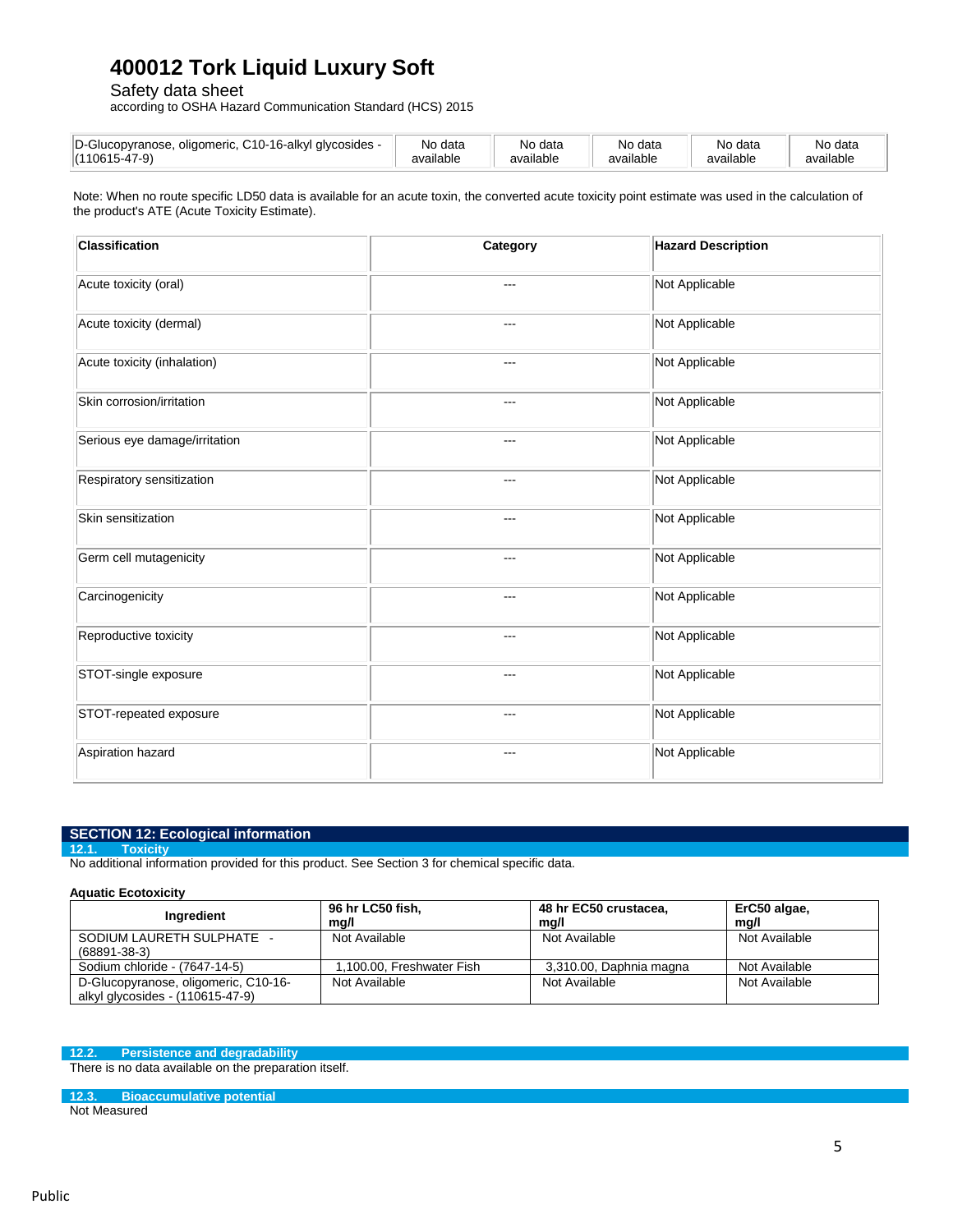Safety data sheet

according to OSHA Hazard Communication Standard (HCS) 2015

| $\overline{\phantom{a}}$<br>D-Gl<br>$\sim$ $\sim$<br>alvcosides -<br>oligomeric<br>pvranose<br>·16-alk∨l<br>ັ<br>$\sim$<br>(11061F | No<br>$A \cap B$<br>uala<br>available | data<br>Nο<br>$\cdot$ .<br>available | data<br>Nır<br><br>available | No<br>ੇ data<br>available | No data<br>.<br>available |
|------------------------------------------------------------------------------------------------------------------------------------|---------------------------------------|--------------------------------------|------------------------------|---------------------------|---------------------------|
|                                                                                                                                    |                                       |                                      |                              |                           |                           |

Note: When no route specific LD50 data is available for an acute toxin, the converted acute toxicity point estimate was used in the calculation of the product's ATE (Acute Toxicity Estimate).

| <b>Classification</b>         | Category | <b>Hazard Description</b> |
|-------------------------------|----------|---------------------------|
| Acute toxicity (oral)         | ---      | Not Applicable            |
| Acute toxicity (dermal)       | $---$    | Not Applicable            |
| Acute toxicity (inhalation)   | ---      | Not Applicable            |
| Skin corrosion/irritation     | ---      | Not Applicable            |
| Serious eye damage/irritation | $---$    | Not Applicable            |
| Respiratory sensitization     | ---      | Not Applicable            |
| Skin sensitization            | ---      | Not Applicable            |
| Germ cell mutagenicity        | ---      | Not Applicable            |
| Carcinogenicity               | ---      | Not Applicable            |
| Reproductive toxicity         | ---      | Not Applicable            |
| STOT-single exposure          | $---$    | Not Applicable            |
| STOT-repeated exposure        | ---      | Not Applicable            |
| Aspiration hazard             | ---      | Not Applicable            |

## **SECTION 12: Ecological information**

**12.1. Toxicity**

No additional information provided for this product. See Section 3 for chemical specific data.

## **Aquatic Ecotoxicity**

| Ingredient                           | 96 hr LC50 fish,<br>mg/l  | 48 hr EC50 crustacea,<br>mg/l | ErC50 algae,<br>ma/l |
|--------------------------------------|---------------------------|-------------------------------|----------------------|
| SODIUM LAURETH SULPHATE -            | Not Available             | Not Available                 | Not Available        |
| $(68891 - 38 - 3)$                   |                           |                               |                      |
| Sodium chloride - (7647-14-5)        | 1.100.00. Freshwater Fish | 3,310.00, Daphnia magna       | Not Available        |
| D-Glucopyranose, oligomeric, C10-16- | Not Available             | Not Available                 | Not Available        |
| alkyl glycosides - (110615-47-9)     |                           |                               |                      |

## **12.2. Persistence and degradability**

There is no data available on the preparation itself.

## **12.3. Bioaccumulative potential**

Not Measured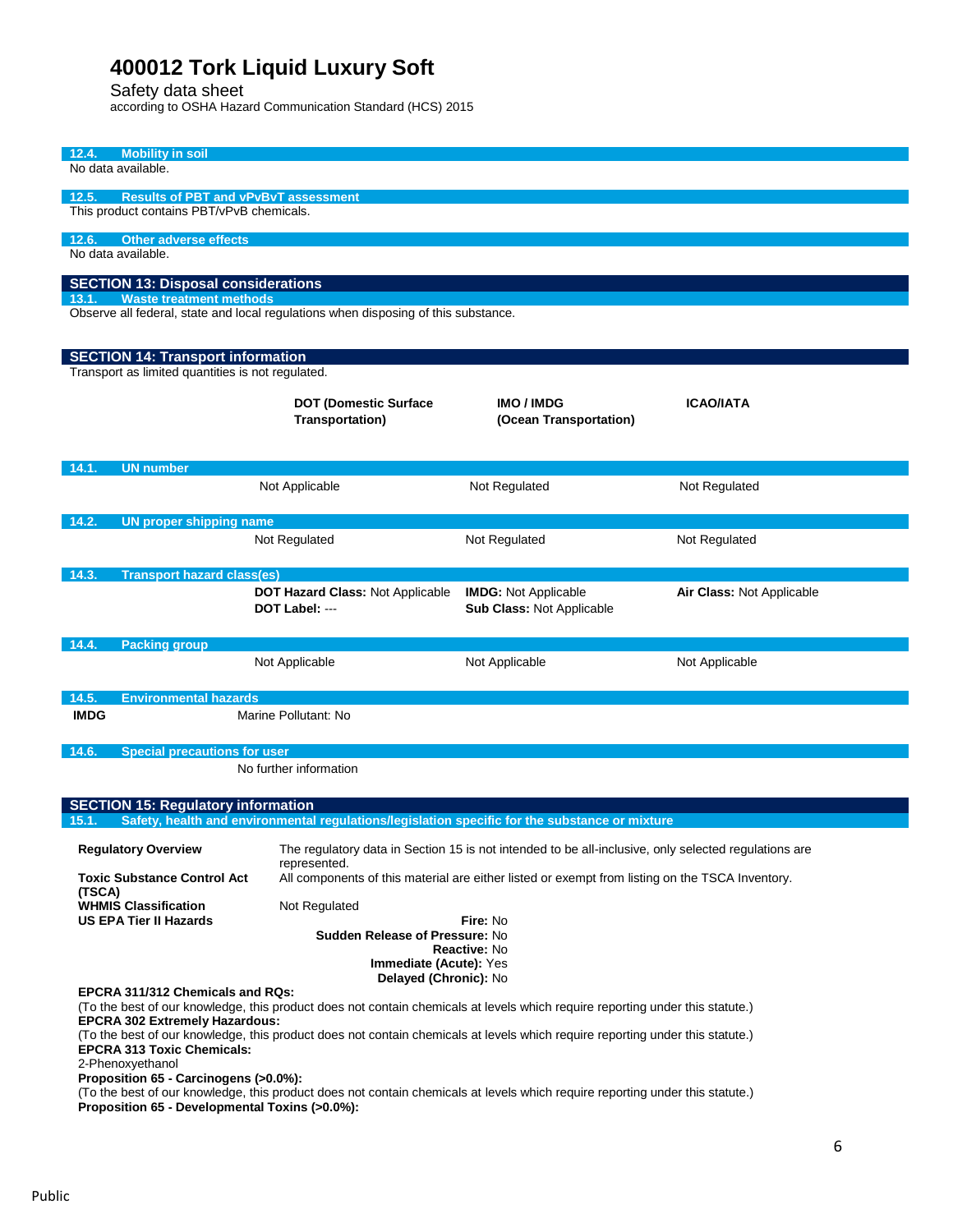Safety data sheet

according to OSHA Hazard Communication Standard (HCS) 2015

| <b>Mobility in soil</b><br>12.4.<br>No data available.                                                                                                                               |                                                                                                                      |                             |                           |
|--------------------------------------------------------------------------------------------------------------------------------------------------------------------------------------|----------------------------------------------------------------------------------------------------------------------|-----------------------------|---------------------------|
|                                                                                                                                                                                      |                                                                                                                      |                             |                           |
| 12.5.<br><b>Results of PBT and vPvBvT assessment</b>                                                                                                                                 |                                                                                                                      |                             |                           |
| This product contains PBT/vPvB chemicals.                                                                                                                                            |                                                                                                                      |                             |                           |
|                                                                                                                                                                                      |                                                                                                                      |                             |                           |
| <b>Other adverse effects</b><br>12.6.                                                                                                                                                |                                                                                                                      |                             |                           |
| No data available.                                                                                                                                                                   |                                                                                                                      |                             |                           |
|                                                                                                                                                                                      |                                                                                                                      |                             |                           |
| <b>SECTION 13: Disposal considerations</b><br><b>Waste treatment methods</b><br>13.1.                                                                                                |                                                                                                                      |                             |                           |
| Observe all federal, state and local regulations when disposing of this substance.                                                                                                   |                                                                                                                      |                             |                           |
|                                                                                                                                                                                      |                                                                                                                      |                             |                           |
|                                                                                                                                                                                      |                                                                                                                      |                             |                           |
| <b>SECTION 14: Transport information</b>                                                                                                                                             |                                                                                                                      |                             |                           |
| Transport as limited quantities is not regulated.                                                                                                                                    |                                                                                                                      |                             |                           |
|                                                                                                                                                                                      |                                                                                                                      | <b>IMO / IMDG</b>           | <b>ICAO/IATA</b>          |
|                                                                                                                                                                                      | <b>DOT (Domestic Surface</b>                                                                                         |                             |                           |
|                                                                                                                                                                                      | <b>Transportation)</b>                                                                                               | (Ocean Transportation)      |                           |
|                                                                                                                                                                                      |                                                                                                                      |                             |                           |
| <b>UN</b> number<br>14.1.                                                                                                                                                            |                                                                                                                      |                             |                           |
|                                                                                                                                                                                      | Not Applicable                                                                                                       | Not Regulated               | Not Regulated             |
|                                                                                                                                                                                      |                                                                                                                      |                             |                           |
|                                                                                                                                                                                      |                                                                                                                      |                             |                           |
| 14.2.<br><b>UN proper shipping name</b>                                                                                                                                              |                                                                                                                      |                             |                           |
|                                                                                                                                                                                      | Not Regulated                                                                                                        | Not Regulated               | Not Regulated             |
|                                                                                                                                                                                      |                                                                                                                      |                             |                           |
| 14.3.<br><b>Transport hazard class(es)</b>                                                                                                                                           |                                                                                                                      |                             |                           |
|                                                                                                                                                                                      | DOT Hazard Class: Not Applicable                                                                                     | <b>IMDG: Not Applicable</b> | Air Class: Not Applicable |
|                                                                                                                                                                                      | DOT Label: ---                                                                                                       | Sub Class: Not Applicable   |                           |
|                                                                                                                                                                                      |                                                                                                                      |                             |                           |
| 14.4.<br><b>Packing group</b>                                                                                                                                                        |                                                                                                                      |                             |                           |
|                                                                                                                                                                                      | Not Applicable                                                                                                       | Not Applicable              | Not Applicable            |
|                                                                                                                                                                                      |                                                                                                                      |                             |                           |
| 14.5.<br><b>Environmental hazards</b>                                                                                                                                                |                                                                                                                      |                             |                           |
| <b>IMDG</b>                                                                                                                                                                          | Marine Pollutant: No                                                                                                 |                             |                           |
|                                                                                                                                                                                      |                                                                                                                      |                             |                           |
| 14.6.<br><b>Special precautions for user</b>                                                                                                                                         |                                                                                                                      |                             |                           |
| No further information                                                                                                                                                               |                                                                                                                      |                             |                           |
|                                                                                                                                                                                      |                                                                                                                      |                             |                           |
| <b>SECTION 15: Regulatory information</b>                                                                                                                                            |                                                                                                                      |                             |                           |
| Safety, health and environmental regulations/legislation specific for the substance or mixture<br>15.1.                                                                              |                                                                                                                      |                             |                           |
|                                                                                                                                                                                      |                                                                                                                      |                             |                           |
| <b>Regulatory Overview</b>                                                                                                                                                           | The regulatory data in Section 15 is not intended to be all-inclusive, only selected regulations are<br>represented. |                             |                           |
| <b>Toxic Substance Control Act</b>                                                                                                                                                   | All components of this material are either listed or exempt from listing on the TSCA Inventory.                      |                             |                           |
| (TSCA)                                                                                                                                                                               |                                                                                                                      |                             |                           |
| <b>WHMIS Classification</b>                                                                                                                                                          | Not Regulated                                                                                                        |                             |                           |
| <b>US EPA Tier II Hazards</b>                                                                                                                                                        |                                                                                                                      | Fire: No                    |                           |
| Sudden Release of Pressure: No                                                                                                                                                       |                                                                                                                      |                             |                           |
| Reactive: No                                                                                                                                                                         |                                                                                                                      |                             |                           |
| <b>Immediate (Acute): Yes</b><br>Delayed (Chronic): No                                                                                                                               |                                                                                                                      |                             |                           |
| EPCRA 311/312 Chemicals and RQs:                                                                                                                                                     |                                                                                                                      |                             |                           |
| (To the best of our knowledge, this product does not contain chemicals at levels which require reporting under this statute.)                                                        |                                                                                                                      |                             |                           |
| <b>EPCRA 302 Extremely Hazardous:</b>                                                                                                                                                |                                                                                                                      |                             |                           |
| (To the best of our knowledge, this product does not contain chemicals at levels which require reporting under this statute.)                                                        |                                                                                                                      |                             |                           |
| <b>EPCRA 313 Toxic Chemicals:</b>                                                                                                                                                    |                                                                                                                      |                             |                           |
| 2-Phenoxyethanol<br>Proposition 65 - Carcinogens (>0.0%):                                                                                                                            |                                                                                                                      |                             |                           |
|                                                                                                                                                                                      |                                                                                                                      |                             |                           |
| (To the best of our knowledge, this product does not contain chemicals at levels which require reporting under this statute.)<br><b>Bronogition CE</b> Dovelopmental Toxing (= 0.0%) |                                                                                                                      |                             |                           |

**Proposition 65 - Developmental Toxins (>0.0%):**